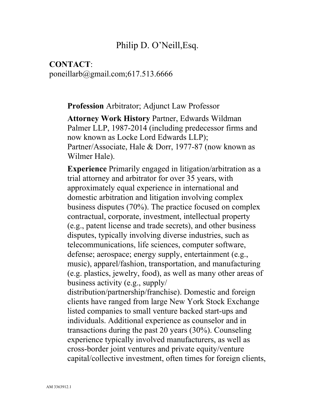### Philip D. O'Neill,Esq.

#### **CONTACT**: poneillarb@gmail.com;617.513.6666

**Profession** Arbitrator; Adjunct Law Professor

**Attorney Work History** Partner, Edwards Wildman Palmer LLP, 1987-2014 (including predecessor firms and now known as Locke Lord Edwards LLP); Partner/Associate, Hale & Dorr, 1977-87 (now known as Wilmer Hale).

**Experience** Primarily engaged in litigation/arbitration as a trial attorney and arbitrator for over 35 years, with approximately equal experience in international and domestic arbitration and litigation involving complex business disputes (70%). The practice focused on complex contractual, corporate, investment, intellectual property (e.g., patent license and trade secrets), and other business disputes, typically involving diverse industries, such as telecommunications, life sciences, computer software, defense; aerospace; energy supply, entertainment (e.g., music), apparel/fashion, transportation, and manufacturing (e.g. plastics, jewelry, food), as well as many other areas of business activity (e.g., supply/ distribution/partnership/franchise). Domestic and foreign

clients have ranged from large New York Stock Exchange listed companies to small venture backed start-ups and individuals. Additional experience as counselor and in transactions during the past 20 years (30%). Counseling experience typically involved manufacturers, as well as cross-border joint ventures and private equity/venture capital/collective investment, often times for foreign clients,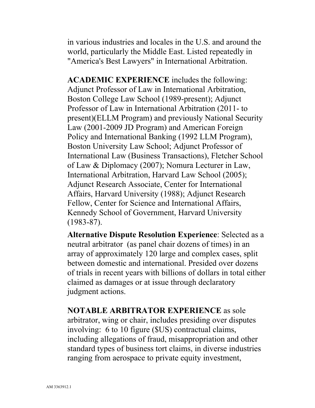in various industries and locales in the U.S. and around the world, particularly the Middle East. Listed repeatedly in "America's Best Lawyers" in International Arbitration.

**ACADEMIC EXPERIENCE** includes the following: Adjunct Professor of Law in International Arbitration, Boston College Law School (1989-present); Adjunct Professor of Law in International Arbitration (2011- to present)(ELLM Program) and previously National Security Law (2001-2009 JD Program) and American Foreign Policy and International Banking (1992 LLM Program), Boston University Law School; Adjunct Professor of International Law (Business Transactions), Fletcher School of Law & Diplomacy (2007); Nomura Lecturer in Law, International Arbitration, Harvard Law School (2005); Adjunct Research Associate, Center for International Affairs, Harvard University (1988); Adjunct Research Fellow, Center for Science and International Affairs, Kennedy School of Government, Harvard University (1983-87).

**Alternative Dispute Resolution Experience**: Selected as a neutral arbitrator (as panel chair dozens of times) in an array of approximately 120 large and complex cases, split between domestic and international. Presided over dozens of trials in recent years with billions of dollars in total either claimed as damages or at issue through declaratory judgment actions.

**NOTABLE ARBITRATOR EXPERIENCE** as sole arbitrator, wing or chair, includes presiding over disputes involving: 6 to 10 figure (\$US) contractual claims, including allegations of fraud, misappropriation and other standard types of business tort claims, in diverse industries ranging from aerospace to private equity investment,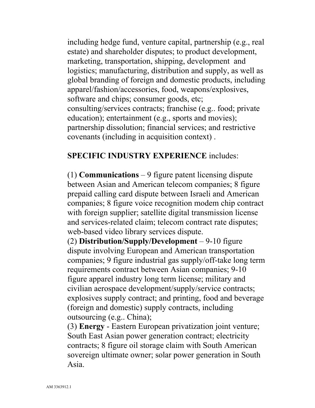including hedge fund, venture capital, partnership (e.g., real estate) and shareholder disputes; to product development, marketing, transportation, shipping, development and logistics; manufacturing, distribution and supply, as well as global branding of foreign and domestic products, including apparel/fashion/accessories, food, weapons/explosives, software and chips; consumer goods, etc; consulting/services contracts; franchise (e.g.. food; private education); entertainment (e.g., sports and movies); partnership dissolution; financial services; and restrictive covenants (including in acquisition context) .

#### **SPECIFIC INDUSTRY EXPERIENCE** includes:

(1) **Communications** – 9 figure patent licensing dispute between Asian and American telecom companies; 8 figure prepaid calling card dispute between Israeli and American companies; 8 figure voice recognition modem chip contract with foreign supplier; satellite digital transmission license and services-related claim; telecom contract rate disputes; web-based video library services dispute.

(2) **Distribution/Supply/Development** – 9-10 figure dispute involving European and American transportation companies; 9 figure industrial gas supply/off-take long term requirements contract between Asian companies; 9-10 figure apparel industry long term license; military and civilian aerospace development/supply/service contracts; explosives supply contract; and printing, food and beverage (foreign and domestic) supply contracts, including outsourcing (e.g.. China);

(3) **Energy** - Eastern European privatization joint venture; South East Asian power generation contract; electricity contracts; 8 figure oil storage claim with South American sovereign ultimate owner; solar power generation in South Asia.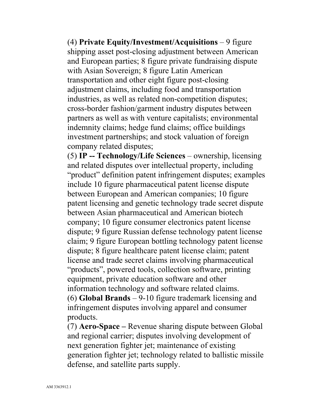(4) **Private Equity/Investment/Acquisitions** – 9 figure shipping asset post-closing adjustment between American and European parties; 8 figure private fundraising dispute with Asian Sovereign; 8 figure Latin American transportation and other eight figure post-closing adjustment claims, including food and transportation industries, as well as related non-competition disputes; cross-border fashion/garment industry disputes between partners as well as with venture capitalists; environmental indemnity claims; hedge fund claims; office buildings investment partnerships; and stock valuation of foreign company related disputes;

(5) **IP -- Technology/Life Sciences** – ownership, licensing and related disputes over intellectual property, including "product" definition patent infringement disputes; examples include 10 figure pharmaceutical patent license dispute between European and American companies; 10 figure patent licensing and genetic technology trade secret dispute between Asian pharmaceutical and American biotech company; 10 figure consumer electronics patent license dispute; 9 figure Russian defense technology patent license claim; 9 figure European bottling technology patent license dispute; 8 figure healthcare patent license claim; patent license and trade secret claims involving pharmaceutical "products", powered tools, collection software, printing equipment, private education software and other information technology and software related claims. (6) **Global Brands** – 9-10 figure trademark licensing and infringement disputes involving apparel and consumer products.

(7) **Aero-Space –** Revenue sharing dispute between Global and regional carrier; disputes involving development of next generation fighter jet; maintenance of existing generation fighter jet; technology related to ballistic missile defense, and satellite parts supply.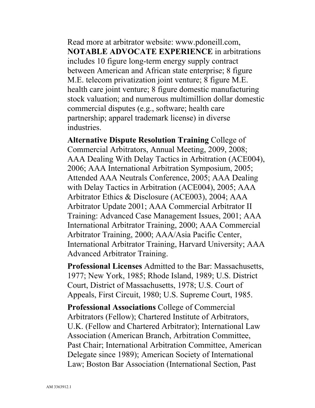Read more at arbitrator website: www.pdoneill.com, **NOTABLE ADVOCATE EXPERIENCE** in arbitrations includes 10 figure long-term energy supply contract between American and African state enterprise; 8 figure M.E. telecom privatization joint venture; 8 figure M.E. health care joint venture; 8 figure domestic manufacturing stock valuation; and numerous multimillion dollar domestic commercial disputes (e.g., software; health care partnership; apparel trademark license) in diverse industries.

**Alternative Dispute Resolution Training** College of Commercial Arbitrators, Annual Meeting, 2009, 2008; AAA Dealing With Delay Tactics in Arbitration (ACE004), 2006; AAA International Arbitration Symposium, 2005; Attended AAA Neutrals Conference, 2005; AAA Dealing with Delay Tactics in Arbitration (ACE004), 2005; AAA Arbitrator Ethics & Disclosure (ACE003), 2004; AAA Arbitrator Update 2001; AAA Commercial Arbitrator II Training: Advanced Case Management Issues, 2001; AAA International Arbitrator Training, 2000; AAA Commercial Arbitrator Training, 2000; AAA/Asia Pacific Center, International Arbitrator Training, Harvard University; AAA Advanced Arbitrator Training.

**Professional Licenses** Admitted to the Bar: Massachusetts, 1977; New York, 1985; Rhode Island, 1989; U.S. District Court, District of Massachusetts, 1978; U.S. Court of Appeals, First Circuit, 1980; U.S. Supreme Court, 1985.

**Professional Associations** College of Commercial Arbitrators (Fellow); Chartered Institute of Arbitrators, U.K. (Fellow and Chartered Arbitrator); International Law Association (American Branch, Arbitration Committee, Past Chair; International Arbitration Committee, American Delegate since 1989); American Society of International Law; Boston Bar Association (International Section, Past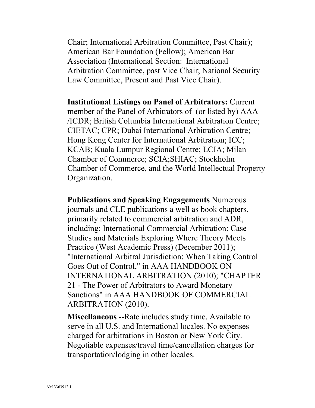Chair; International Arbitration Committee, Past Chair); American Bar Foundation (Fellow); American Bar Association (International Section: International Arbitration Committee, past Vice Chair; National Security Law Committee, Present and Past Vice Chair).

**Institutional Listings on Panel of Arbitrators:** Current member of the Panel of Arbitrators of (or listed by) AAA /ICDR; British Columbia International Arbitration Centre; CIETAC; CPR; Dubai International Arbitration Centre; Hong Kong Center for International Arbitration; ICC; KCAB; Kuala Lumpur Regional Centre; LCIA; Milan Chamber of Commerce; SCIA;SHIAC; Stockholm Chamber of Commerce, and the World Intellectual Property Organization.

**Publications and Speaking Engagements** Numerous journals and CLE publications a well as book chapters, primarily related to commercial arbitration and ADR, including: International Commercial Arbitration: Case Studies and Materials Exploring Where Theory Meets Practice (West Academic Press) (December 2011); "International Arbitral Jurisdiction: When Taking Control Goes Out of Control," in AAA HANDBOOK ON INTERNATIONAL ARBITRATION (2010); "CHAPTER 21 - The Power of Arbitrators to Award Monetary Sanctions" in AAA HANDBOOK OF COMMERCIAL ARBITRATION (2010).

**Miscellaneous** --Rate includes study time. Available to serve in all U.S. and International locales. No expenses charged for arbitrations in Boston or New York City. Negotiable expenses/travel time/cancellation charges for transportation/lodging in other locales.